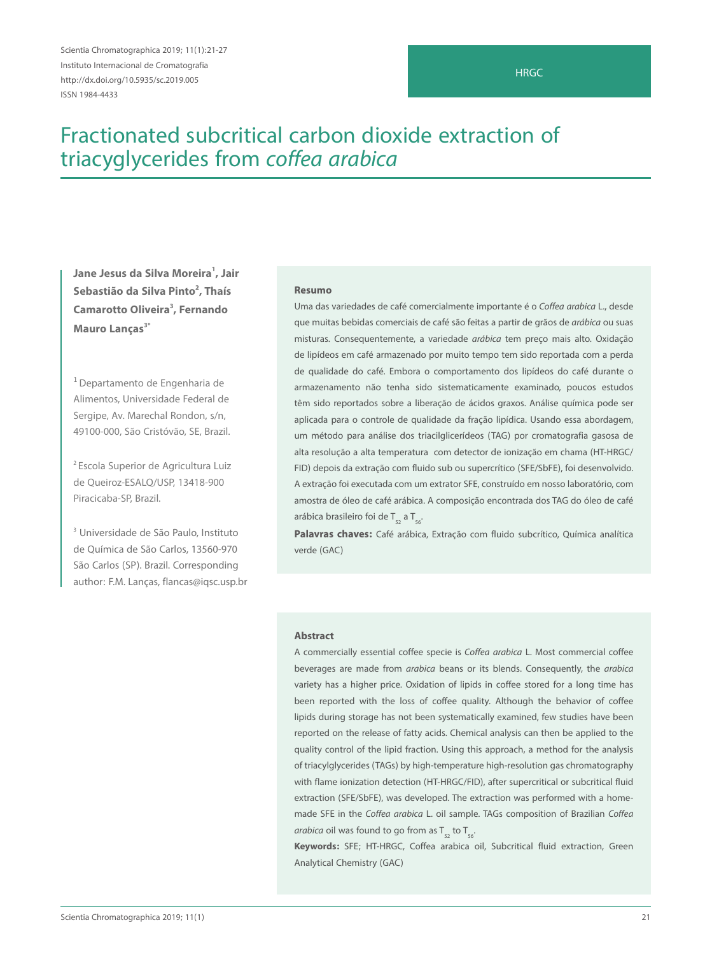Scientia Chromatographica 2019; 11(1):21-27 Instituto Internacional de Cromatografia http://dx.doi.org/10.5935/sc.2019.005 ISSN 1984-4433

#### **HRGC**

# Fractionated subcritical carbon dioxide extraction of triacyglycerides from coffea arabica

**Jane Jesus da Silva Moreira1 , Jair**  Sebastião da Silva Pinto<sup>2</sup>, Thaís **Camarotto Oliveira3 , Fernando Mauro Lancas<sup>3\*</sup>** 

<sup>1</sup> Departamento de Engenharia de Alimentos, Universidade Federal de Sergipe, Av. Marechal Rondon, s/n, 49100-000, São Cristóvão, SE, Brazil.

2 Escola Superior de Agricultura Luiz de Queiroz-ESALQ/USP, 13418-900 Piracicaba-SP, Brazil.

3 Universidade de São Paulo, Instituto de Química de São Carlos, 13560-970 São Carlos (SP). Brazil. Corresponding author: F.M. Lanças, flancas@iqsc.usp.br

#### **Resumo**

Uma das variedades de café comercialmente importante é o Coffea arabica L., desde que muitas bebidas comerciais de café são feitas a partir de grãos de arábica ou suas misturas. Consequentemente, a variedade arábica tem preço mais alto. Oxidação de lipídeos em café armazenado por muito tempo tem sido reportada com a perda de qualidade do café. Embora o comportamento dos lipídeos do café durante o armazenamento não tenha sido sistematicamente examinado, poucos estudos têm sido reportados sobre a liberação de ácidos graxos. Análise química pode ser aplicada para o controle de qualidade da fração lipídica. Usando essa abordagem, um método para análise dos triacilglicerídeos (TAG) por cromatografia gasosa de alta resolução a alta temperatura com detector de ionização em chama (HT-HRGC/ FID) depois da extração com fluido sub ou supercrítico (SFE/SbFE), foi desenvolvido. A extração foi executada com um extrator SFE, construído em nosso laboratório, com amostra de óleo de café arábica. A composição encontrada dos TAG do óleo de café arábica brasileiro foi de  $T_{52}$  a  $T_{56}$ .

**Palavras chaves:** Café arábica, Extração com fluido subcrítico, Química analítica verde (GAC)

#### **Abstract**

A commercially essential coffee specie is Coffea arabica L. Most commercial coffee beverages are made from *arabica* beans or its blends. Consequently, the *arabica* variety has a higher price. Oxidation of lipids in coffee stored for a long time has been reported with the loss of coffee quality. Although the behavior of coffee lipids during storage has not been systematically examined, few studies have been reported on the release of fatty acids. Chemical analysis can then be applied to the quality control of the lipid fraction. Using this approach, a method for the analysis of triacylglycerides (TAGs) by high-temperature high-resolution gas chromatography with flame ionization detection (HT-HRGC/FID), after supercritical or subcritical fluid extraction (SFE/SbFE), was developed. The extraction was performed with a homemade SFE in the Coffea arabica L. oil sample. TAGs composition of Brazilian Coffea arabica oil was found to go from as  $T_{52}$  to  $T_{56}$ .

**Keywords:** SFE; HT-HRGC, Coffea arabica oil, Subcritical fluid extraction, Green Analytical Chemistry (GAC)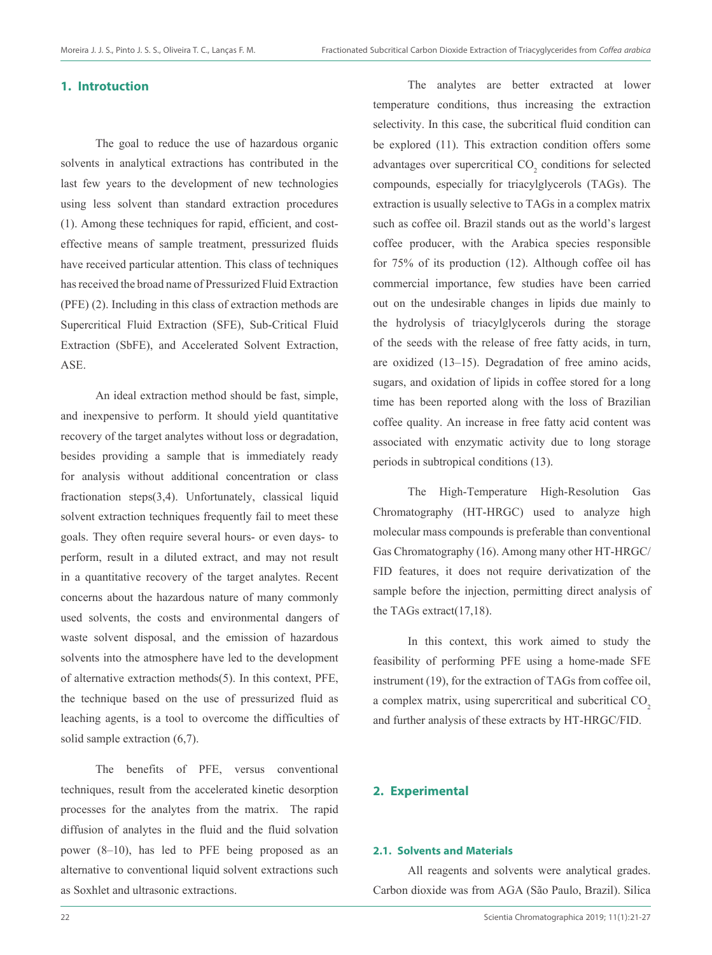## **1. Introtuction**

The goal to reduce the use of hazardous organic solvents in analytical extractions has contributed in the last few years to the development of new technologies using less solvent than standard extraction procedures (1). Among these techniques for rapid, efficient, and costeffective means of sample treatment, pressurized fluids have received particular attention. This class of techniques has received the broad name of Pressurized Fluid Extraction (PFE) (2). Including in this class of extraction methods are Supercritical Fluid Extraction (SFE), Sub-Critical Fluid Extraction (SbFE), and Accelerated Solvent Extraction, ASE.

An ideal extraction method should be fast, simple, and inexpensive to perform. It should yield quantitative recovery of the target analytes without loss or degradation, besides providing a sample that is immediately ready for analysis without additional concentration or class fractionation steps(3,4). Unfortunately, classical liquid solvent extraction techniques frequently fail to meet these goals. They often require several hours- or even days- to perform, result in a diluted extract, and may not result in a quantitative recovery of the target analytes. Recent concerns about the hazardous nature of many commonly used solvents, the costs and environmental dangers of waste solvent disposal, and the emission of hazardous solvents into the atmosphere have led to the development of alternative extraction methods(5). In this context, PFE, the technique based on the use of pressurized fluid as leaching agents, is a tool to overcome the difficulties of solid sample extraction (6,7).

The benefits of PFE, versus conventional techniques, result from the accelerated kinetic desorption processes for the analytes from the matrix. The rapid diffusion of analytes in the fluid and the fluid solvation power (8–10), has led to PFE being proposed as an alternative to conventional liquid solvent extractions such as Soxhlet and ultrasonic extractions.

The analytes are better extracted at lower temperature conditions, thus increasing the extraction selectivity. In this case, the subcritical fluid condition can be explored (11). This extraction condition offers some advantages over supercritical  $CO_2$  conditions for selected compounds, especially for triacylglycerols (TAGs). The extraction is usually selective to TAGs in a complex matrix such as coffee oil. Brazil stands out as the world's largest coffee producer, with the Arabica species responsible for 75% of its production (12). Although coffee oil has commercial importance, few studies have been carried out on the undesirable changes in lipids due mainly to the hydrolysis of triacylglycerols during the storage of the seeds with the release of free fatty acids, in turn, are oxidized (13–15). Degradation of free amino acids, sugars, and oxidation of lipids in coffee stored for a long time has been reported along with the loss of Brazilian coffee quality. An increase in free fatty acid content was associated with enzymatic activity due to long storage periods in subtropical conditions (13).

The High-Temperature High-Resolution Gas Chromatography (HT-HRGC) used to analyze high molecular mass compounds is preferable than conventional Gas Chromatography (16). Among many other HT-HRGC/ FID features, it does not require derivatization of the sample before the injection, permitting direct analysis of the TAGs extract(17,18).

In this context, this work aimed to study the feasibility of performing PFE using a home-made SFE instrument (19), for the extraction of TAGs from coffee oil, a complex matrix, using supercritical and subcritical CO<sub>2</sub> and further analysis of these extracts by HT-HRGC/FID.

# **2. Experimental**

#### **2.1. Solvents and Materials**

All reagents and solvents were analytical grades. Carbon dioxide was from AGA (São Paulo, Brazil). Silica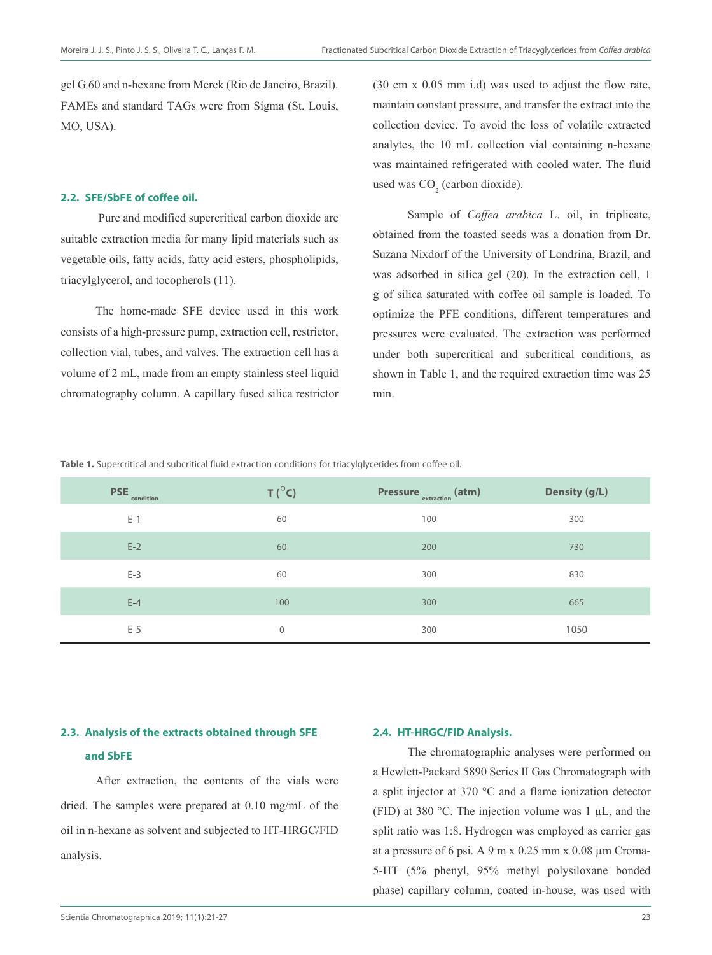gel G 60 and n-hexane from Merck (Rio de Janeiro, Brazil). FAMEs and standard TAGs were from Sigma (St. Louis, MO, USA).

#### **2.2. SFE/SbFE of coffee oil.**

Pure and modified supercritical carbon dioxide are suitable extraction media for many lipid materials such as vegetable oils, fatty acids, fatty acid esters, phospholipids, triacylglycerol, and tocopherols (11).

The home-made SFE device used in this work consists of a high-pressure pump, extraction cell, restrictor, collection vial, tubes, and valves. The extraction cell has a volume of 2 mL, made from an empty stainless steel liquid chromatography column. A capillary fused silica restrictor (30 cm x 0.05 mm i.d) was used to adjust the flow rate, maintain constant pressure, and transfer the extract into the collection device. To avoid the loss of volatile extracted analytes, the 10 mL collection vial containing n-hexane was maintained refrigerated with cooled water. The fluid used was  $CO<sub>2</sub>$  (carbon dioxide).

Sample of *Coffea arabica* L. oil, in triplicate, obtained from the toasted seeds was a donation from Dr. Suzana Nixdorf of the University of Londrina, Brazil, and was adsorbed in silica gel (20). In the extraction cell, 1 g of silica saturated with coffee oil sample is loaded. To optimize the PFE conditions, different temperatures and pressures were evaluated. The extraction was performed under both supercritical and subcritical conditions, as shown in Table 1, and the required extraction time was 25 min.

**Table 1.** Supercritical and subcritical fluid extraction conditions for triacylglycerides from coffee oil.

| <b>PSE</b><br>condition | $T(^{\circ}C)$ | <b>Pressure</b> extraction (atm) | Density (g/L) |
|-------------------------|----------------|----------------------------------|---------------|
| $E-1$                   | 60             | 100                              | 300           |
| $E-2$                   | 60             | 200                              | 730           |
| $E-3$                   | 60             | 300                              | 830           |
| $E-4$                   | 100            | 300                              | 665           |
| $E-5$                   | $\mathbf{0}$   | 300                              | 1050          |

# **2.3. Analysis of the extracts obtained through SFE and SbFE**

After extraction, the contents of the vials were dried. The samples were prepared at 0.10 mg/mL of the oil in n-hexane as solvent and subjected to HT-HRGC/FID analysis.

#### **2.4. HT-HRGC/FID Analysis.**

The chromatographic analyses were performed on a Hewlett-Packard 5890 Series II Gas Chromatograph with a split injector at 370 °C and a flame ionization detector (FID) at 380 °C. The injection volume was  $1 \mu L$ , and the split ratio was 1:8. Hydrogen was employed as carrier gas at a pressure of 6 psi. A 9 m x 0.25 mm x 0.08 µm Croma-5-HT (5% phenyl, 95% methyl polysiloxane bonded phase) capillary column, coated in-house, was used with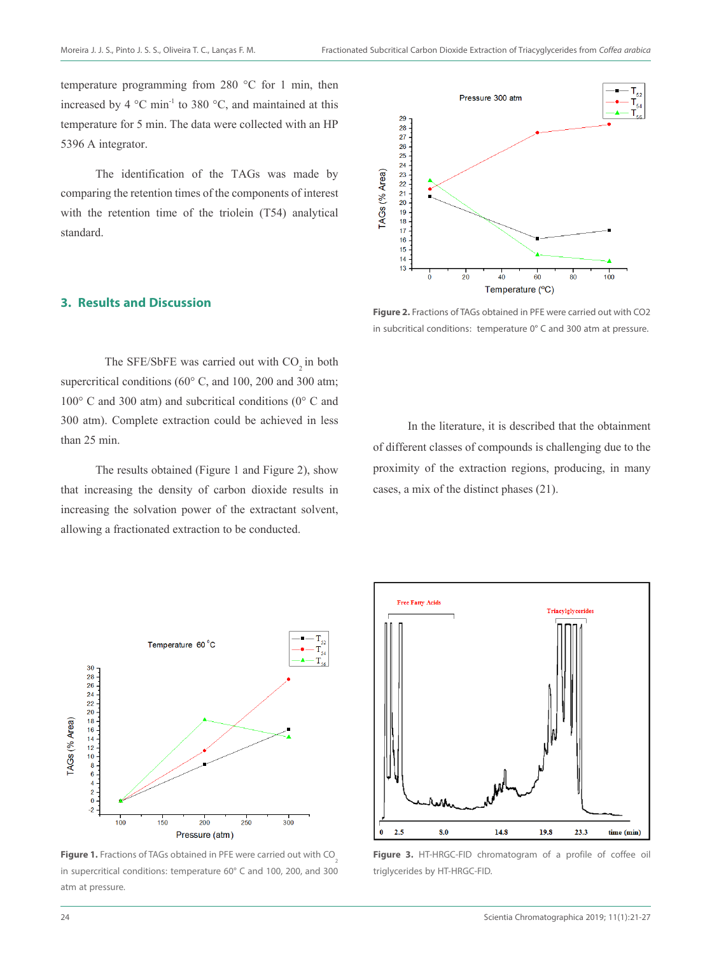temperature programming from 280 °C for 1 min, then increased by 4 °C min-1 to 380 °C, and maintained at this temperature for 5 min. The data were collected with an HP 5396 A integrator.

The identification of the TAGs was made by comparing the retention times of the components of interest with the retention time of the triolein (T54) analytical standard.

### **3. Results and Discussion**

The SFE/SbFE was carried out with  $CO<sub>2</sub>$  in both supercritical conditions (60° C, and 100, 200 and 300 atm; 100° C and 300 atm) and subcritical conditions (0° C and 300 atm). Complete extraction could be achieved in less than 25 min.

The results obtained (Figure 1 and Figure 2), show that increasing the density of carbon dioxide results in increasing the solvation power of the extractant solvent, allowing a fractionated extraction to be conducted.



**Figure 2.** Fractions of TAGs obtained in PFE were carried out with CO2 in subcritical conditions: temperature 0° C and 300 atm at pressure.

In the literature, it is described that the obtainment of different classes of compounds is challenging due to the proximity of the extraction regions, producing, in many cases, a mix of the distinct phases (21).



Figure 1. Fractions of TAGs obtained in PFE were carried out with CO<sub>2</sub> in supercritical conditions: temperature 60° C and 100, 200, and 300 atm at pressure.



**Figure 3.** HT-HRGC-FID chromatogram of a profile of coffee oil triglycerides by HT-HRGC-FID.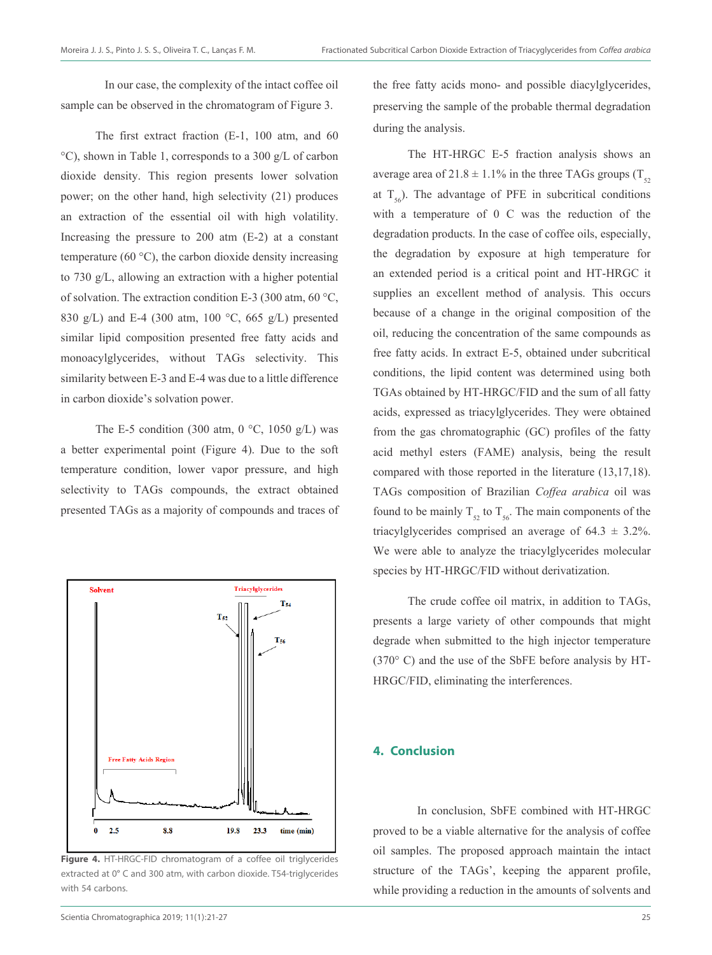In our case, the complexity of the intact coffee oil sample can be observed in the chromatogram of Figure 3.

The first extract fraction (E-1, 100 atm, and 60 °C), shown in Table 1, corresponds to a 300 g/L of carbon dioxide density. This region presents lower solvation power; on the other hand, high selectivity (21) produces an extraction of the essential oil with high volatility. Increasing the pressure to 200 atm (E-2) at a constant temperature (60 $\degree$ C), the carbon dioxide density increasing to 730 g/L, allowing an extraction with a higher potential of solvation. The extraction condition E-3 (300 atm, 60 °C, 830 g/L) and E-4 (300 atm, 100 °C, 665 g/L) presented similar lipid composition presented free fatty acids and monoacylglycerides, without TAGs selectivity. This similarity between E-3 and E-4 was due to a little difference in carbon dioxide's solvation power.

The E-5 condition (300 atm,  $0^{\circ}$ C, 1050 g/L) was a better experimental point (Figure 4). Due to the soft temperature condition, lower vapor pressure, and high selectivity to TAGs compounds, the extract obtained presented TAGs as a majority of compounds and traces of



**Figure 4.** HT-HRGC-FID chromatogram of a coffee oil triglycerides extracted at 0° C and 300 atm, with carbon dioxide. T54-triglycerides with 54 carbons.

the free fatty acids mono- and possible diacylglycerides, preserving the sample of the probable thermal degradation during the analysis.

The HT-HRGC E-5 fraction analysis shows an average area of 21.8  $\pm$  1.1% in the three TAGs groups (T<sub>22</sub>) at  $T_{56}$ ). The advantage of PFE in subcritical conditions with a temperature of 0 C was the reduction of the degradation products. In the case of coffee oils, especially, the degradation by exposure at high temperature for an extended period is a critical point and HT-HRGC it supplies an excellent method of analysis. This occurs because of a change in the original composition of the oil, reducing the concentration of the same compounds as free fatty acids. In extract E-5, obtained under subcritical conditions, the lipid content was determined using both TGAs obtained by HT-HRGC/FID and the sum of all fatty acids, expressed as triacylglycerides. They were obtained from the gas chromatographic (GC) profiles of the fatty acid methyl esters (FAME) analysis, being the result compared with those reported in the literature (13,17,18). TAGs composition of Brazilian *Coffea arabica* oil was found to be mainly  $T_{52}$  to  $T_{56}$ . The main components of the triacylglycerides comprised an average of  $64.3 \pm 3.2\%$ . We were able to analyze the triacylglycerides molecular species by HT-HRGC/FID without derivatization.

The crude coffee oil matrix, in addition to TAGs, presents a large variety of other compounds that might degrade when submitted to the high injector temperature (370° C) and the use of the SbFE before analysis by HT-HRGC/FID, eliminating the interferences.

# **4. Conclusion**

In conclusion, SbFE combined with HT-HRGC proved to be a viable alternative for the analysis of coffee oil samples. The proposed approach maintain the intact structure of the TAGs', keeping the apparent profile, while providing a reduction in the amounts of solvents and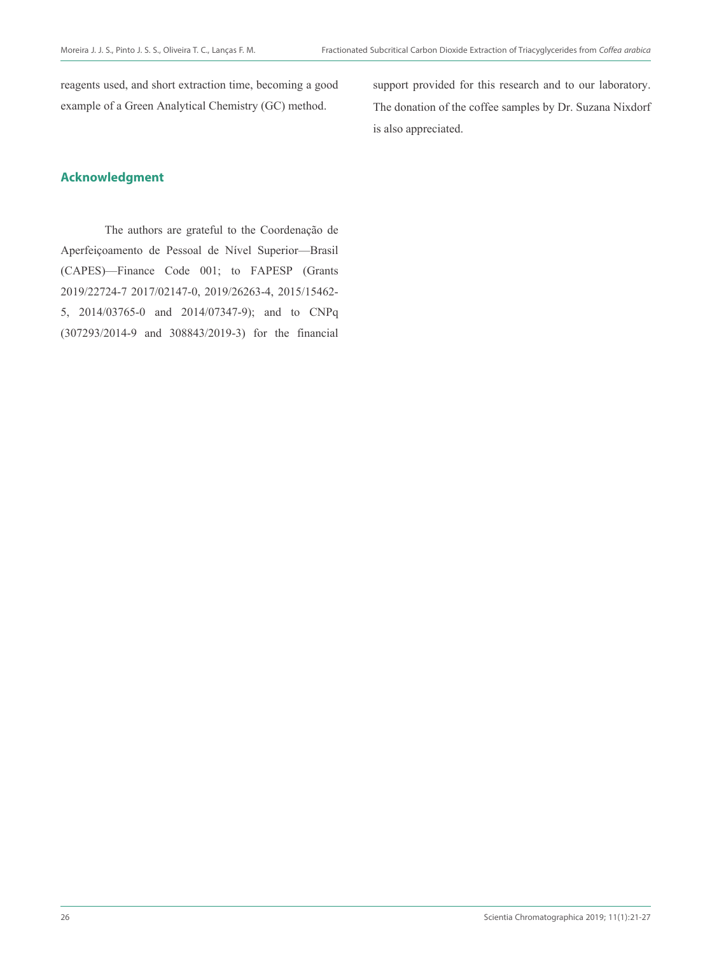reagents used, and short extraction time, becoming a good example of a Green Analytical Chemistry (GC) method.

support provided for this research and to our laboratory. The donation of the coffee samples by Dr. Suzana Nixdorf is also appreciated.

# **Acknowledgment**

The authors are grateful to the Coordenação de Aperfeiçoamento de Pessoal de Nível Superior—Brasil (CAPES)—Finance Code 001; to FAPESP (Grants 2019/22724-7 2017/02147-0, 2019/26263-4, 2015/15462- 5, 2014/03765-0 and 2014/07347-9); and to CNPq (307293/2014-9 and 308843/2019-3) for the financial